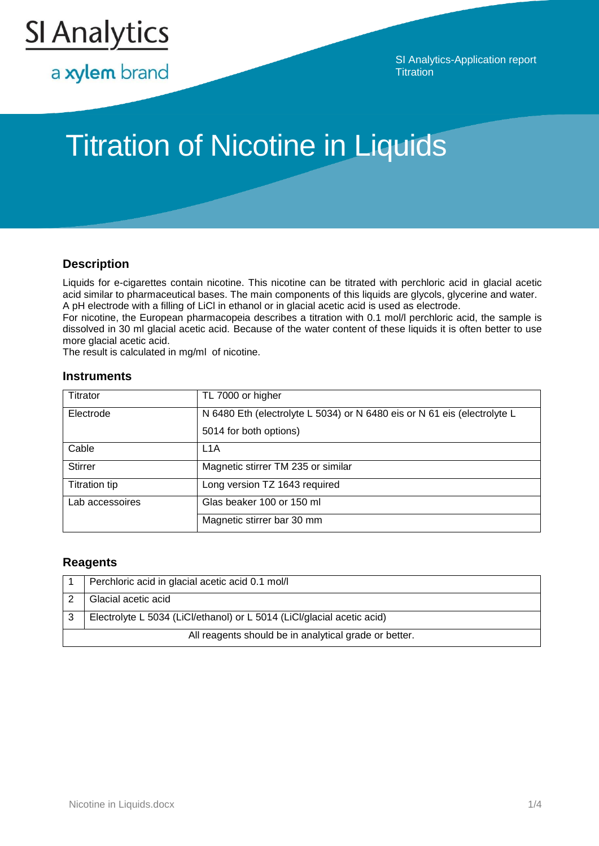

a xylem brand

SI Analytics-Application report **Titration** 

# Titration of Nicotine in Liquids

## **Description**

Liquids for e-cigarettes contain nicotine. This nicotine can be titrated with perchloric acid in glacial acetic acid similar to pharmaceutical bases. The main components of this liquids are glycols, glycerine and water. A pH electrode with a filling of LiCl in ethanol or in glacial acetic acid is used as electrode.

For nicotine, the European pharmacopeia describes a titration with 0.1 mol/l perchloric acid, the sample is dissolved in 30 ml glacial acetic acid. Because of the water content of these liquids it is often better to use more glacial acetic acid.

The result is calculated in mg/ml of nicotine.

### **Instruments**

| Titrator             | TL 7000 or higher                                                        |
|----------------------|--------------------------------------------------------------------------|
| Electrode            | N 6480 Eth (electrolyte L 5034) or N 6480 eis or N 61 eis (electrolyte L |
|                      | 5014 for both options)                                                   |
| Cable                | L <sub>1</sub> A                                                         |
| <b>Stirrer</b>       | Magnetic stirrer TM 235 or similar                                       |
| <b>Titration tip</b> | Long version TZ 1643 required                                            |
| Lab accessoires      | Glas beaker 100 or 150 ml                                                |
|                      | Magnetic stirrer bar 30 mm                                               |

### **Reagents**

|                                                       | Perchloric acid in glacial acetic acid 0.1 mol/l                       |  |
|-------------------------------------------------------|------------------------------------------------------------------------|--|
|                                                       | Glacial acetic acid                                                    |  |
|                                                       | Electrolyte L 5034 (LiCl/ethanol) or L 5014 (LiCl/glacial acetic acid) |  |
| All reagents should be in analytical grade or better. |                                                                        |  |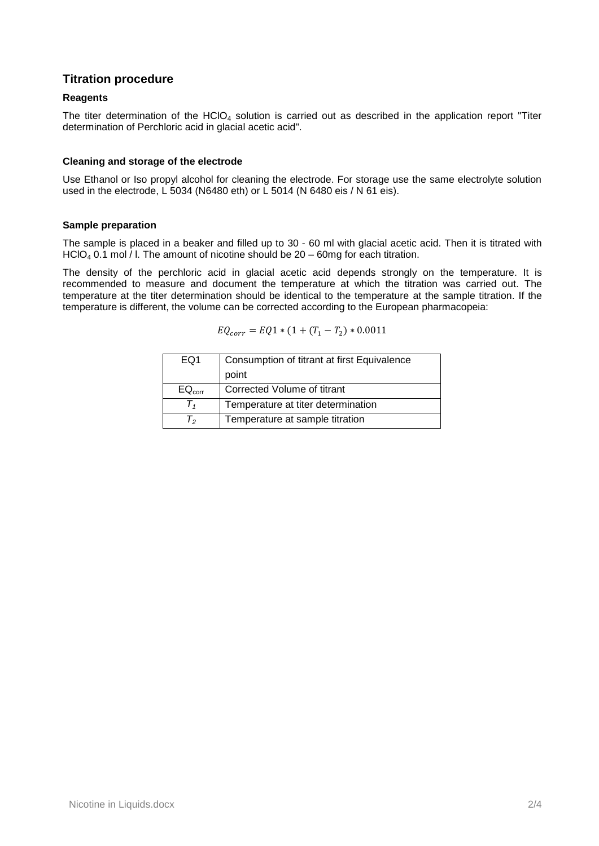## **Titration procedure**

#### **Reagents**

The titer determination of the  $HClO<sub>4</sub>$  solution is carried out as described in the application report "Titer determination of Perchloric acid in glacial acetic acid".

#### **Cleaning and storage of the electrode**

Use Ethanol or Iso propyl alcohol for cleaning the electrode. For storage use the same electrolyte solution used in the electrode, L 5034 (N6480 eth) or L 5014 (N 6480 eis / N 61 eis).

#### **Sample preparation**

The sample is placed in a beaker and filled up to 30 - 60 ml with glacial acetic acid. Then it is titrated with HClO<sub>4</sub> 0.1 mol  $/$  l. The amount of nicotine should be 20 – 60mg for each titration.

The density of the perchloric acid in glacial acetic acid depends strongly on the temperature. It is recommended to measure and document the temperature at which the titration was carried out. The temperature at the titer determination should be identical to the temperature at the sample titration. If the temperature is different, the volume can be corrected according to the European pharmacopeia:

$$
EQ_{corr} = EQ1 * (1 + (T_1 - T_2) * 0.0011
$$

| EQ1                | Consumption of titrant at first Equivalence |  |
|--------------------|---------------------------------------------|--|
|                    | point                                       |  |
| EQ <sub>corr</sub> | Corrected Volume of titrant                 |  |
| $\mathbf{I}$       | Temperature at titer determination          |  |
| I۰                 | Temperature at sample titration             |  |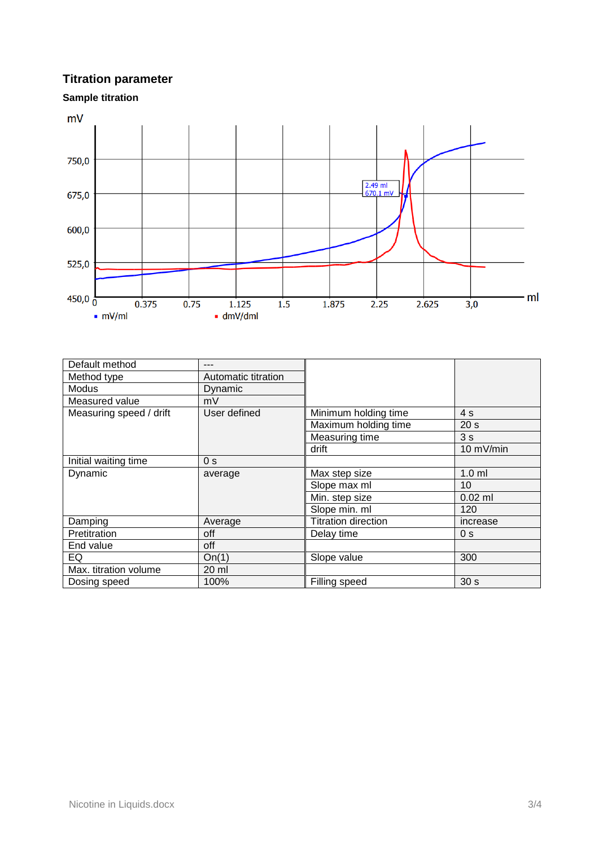## **Titration parameter**

**Sample titration**



| Default method          |                     |                            |                 |
|-------------------------|---------------------|----------------------------|-----------------|
| Method type             | Automatic titration |                            |                 |
| Modus                   | Dynamic             |                            |                 |
| Measured value          | mV                  |                            |                 |
| Measuring speed / drift | User defined        | Minimum holding time       | 4s              |
|                         |                     | Maximum holding time       | 20 <sub>s</sub> |
|                         |                     | Measuring time             | 3s              |
|                         |                     | drift                      | 10 mV/min       |
| Initial waiting time    | 0 <sub>s</sub>      |                            |                 |
| Dynamic                 | average             | Max step size              | $1.0$ ml        |
|                         |                     | Slope max ml               | 10              |
|                         |                     | Min. step size             | $0.02$ ml       |
|                         |                     | Slope min. ml              | 120             |
| Damping                 | Average             | <b>Titration direction</b> | increase        |
| Pretitration            | off                 | Delay time                 | 0 <sub>s</sub>  |
| End value               | off                 |                            |                 |
| EQ                      | On(1)               | Slope value                | 300             |
| Max. titration volume   | 20 ml               |                            |                 |
| Dosing speed            | 100%                | Filling speed              | 30 <sub>s</sub> |